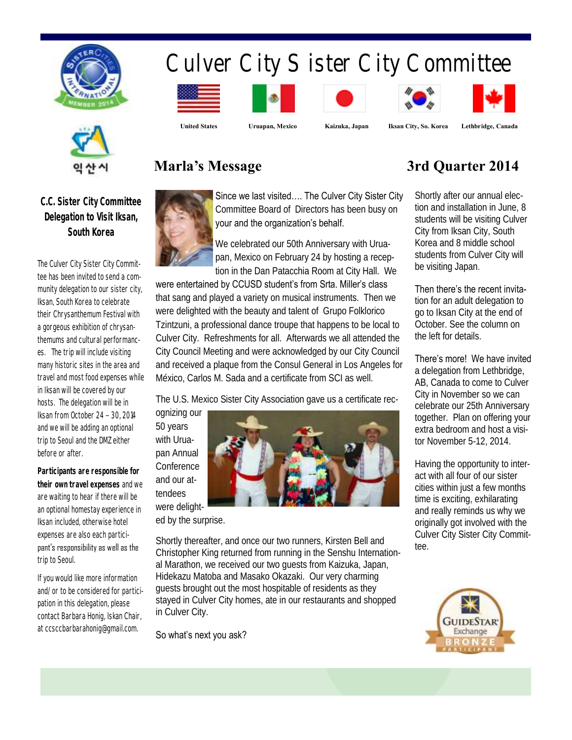

# Culver City Sister City Committee







 **United States Uruapan, Mexico Kaizuka, Japan Iksan City, So. Korea Lethbridge, Canada**







## **C.C. Sister City Committee Delegation to Visit Iksan, South Korea**

The Culver City Sister City Committee has been invited to send a community delegation to our sister city, Iksan, South Korea to celebrate their Chrysanthemum Festival with a gorgeous exhibition of chrysanthemums and cultural performances. The trip will include visiting many historic sites in the area and travel and most food expenses while in Iksan will be covered by our hosts. The delegation will be in Iksan from October 24 – 30, 2014 and we will be adding an optional trip to Seoul and the DMZ either before or after.

**Participants are responsible for their own travel expenses** and we are waiting to hear if there will be an optional homestay experience in Iksan included, otherwise hotel expenses are also each participant's responsibility as well as the trip to Seoul.

If you would like more information and/or to be considered for participation in this delegation, please contact Barbara Honig, Iskan Chair, at ccsccbarbarahonig@gmail.com.



Since we last visited…. The Culver City Sister City Committee Board of Directors has been busy on your and the organization's behalf.

We celebrated our 50th Anniversary with Uruapan, Mexico on February 24 by hosting a reception in the Dan Patacchia Room at City Hall. We

were entertained by CCUSD student's from Srta. Miller's class that sang and played a variety on musical instruments. Then we were delighted with the beauty and talent of Grupo Folklorico Tzintzuni, a professional dance troupe that happens to be local to Culver City. Refreshments for all. Afterwards we all attended the City Council Meeting and were acknowledged by our City Council and received a plaque from the Consul General in Los Angeles for México, Carlos M. Sada and a certificate from SCI as well.

The U.S. Mexico Sister City Association gave us a certificate recognizing our

50 years with Uruapan Annual Conference and our at-

tendees



ed by the surprise.

Shortly thereafter, and once our two runners, Kirsten Bell and Christopher King returned from running in the Senshu International Marathon, we received our two guests from Kaizuka, Japan, Hidekazu Matoba and Masako Okazaki. Our very charming guests brought out the most hospitable of residents as they stayed in Culver City homes, ate in our restaurants and shopped in Culver City.

So what's next you ask?

# **Marla's Message 3rd Quarter 2014**

Shortly after our annual election and installation in June, 8 students will be visiting Culver City from Iksan City, South Korea and 8 middle school students from Culver City will be visiting Japan.

#### Then there's the recent invita-

tion for an adult delegation to go to Iksan City at the end of October. See the column on the left for details.

#### There's more! We have invited

a delegation from Lethbridge, AB, Canada to come to Culver City in November so we can celebrate our 25th Anniversary together. Plan on offering your extra bedroom and host a visitor November 5-12, 2014.

Having the opportunity to interact with all four of our sister cities within just a few months time is exciting, exhilarating and really reminds us why we originally got involved with the Culver City Sister City Committee.

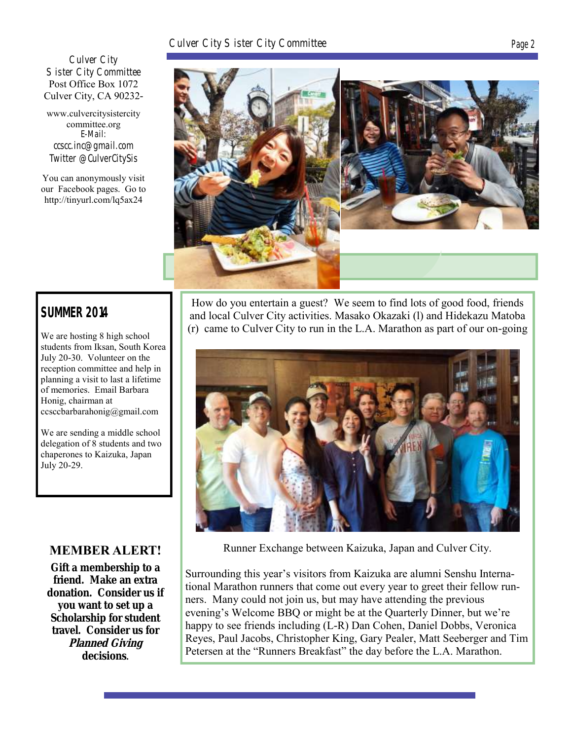#### Culver City Sister City Committee Page 2

Culver City Sister City Committee Post Office Box 1072 Culver City, CA 90232-

www.culvercitysistercity committee.org **E-Mail: ccscc.inc@gmail.com Twitter @CulverCitySis**

You can anonymously visit our Facebook pages. Go to http://tinyurl.com/lq5ax24



# **SUMMER 2014**

We are hosting 8 high school students from Iksan, South Korea July 20-30. Volunteer on the reception committee and help in planning a visit to last a lifetime of memories. Email Barbara Honig, chairman at ccsccbarbarahonig@gmail.com

We are sending a middle school delegation of 8 students and two chaperones to Kaizuka, Japan July 20-29.

### **MEMBER ALERT!**

**Gift a membership to a friend. Make an extra donation. Consider us if you want to set up a Scholarship for student travel. Consider us for Planned Giving decisions.**

How do you entertain a guest? We seem to find lots of good food, friends and local Culver City activities. Masako Okazaki (l) and Hidekazu Matoba (r) came to Culver City to run in the L.A. Marathon as part of our on-going



Runner Exchange between Kaizuka, Japan and Culver City.

Surrounding this year's visitors from Kaizuka are alumni Senshu International Marathon runners that come out every year to greet their fellow runners. Many could not join us, but may have attending the previous evening's Welcome BBQ or might be at the Quarterly Dinner, but we're happy to see friends including (L-R) Dan Cohen, Daniel Dobbs, Veronica Reyes, Paul Jacobs, Christopher King, Gary Pealer, Matt Seeberger and Tim Petersen at the "Runners Breakfast" the day before the L.A. Marathon.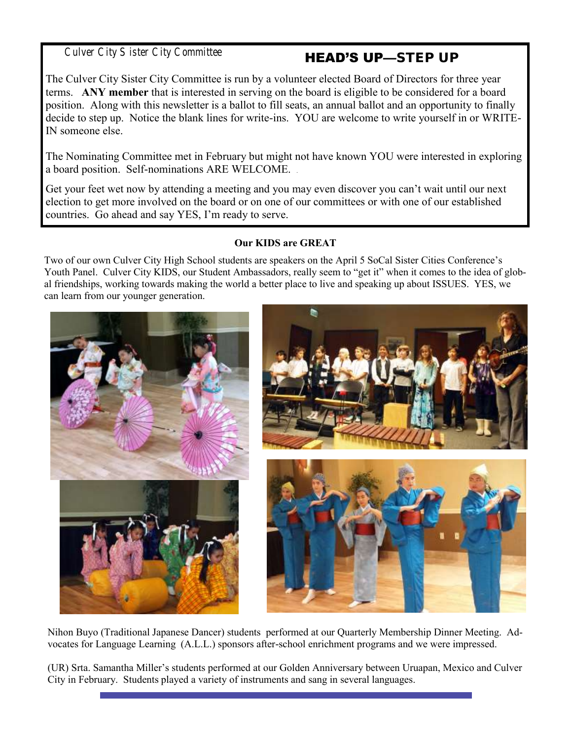Culver City Sister City Committee

# HEAD'S UP—STEP UP

The Culver City Sister City Committee is run by a volunteer elected Board of Directors for three year terms. **ANY member** that is interested in serving on the board is eligible to be considered for a board position. Along with this newsletter is a ballot to fill seats, an annual ballot and an opportunity to finally decide to step up. Notice the blank lines for write-ins. YOU are welcome to write yourself in or WRITE-IN someone else.

The Nominating Committee met in February but might not have known YOU were interested in exploring a board position. Self-nominations ARE WELCOME. .

Get your feet wet now by attending a meeting and you may even discover you can't wait until our next election to get more involved on the board or on one of our committees or with one of our established countries. Go ahead and say YES, I'm ready to serve.

#### **Our KIDS are GREAT**

Two of our own Culver City High School students are speakers on the April 5 SoCal Sister Cities Conference's Youth Panel. Culver City KIDS, our Student Ambassadors, really seem to "get it" when it comes to the idea of global friendships, working towards making the world a better place to live and speaking up about ISSUES. YES, we can learn from our younger generation.



Nihon Buyo (Traditional Japanese Dancer) students performed at our Quarterly Membership Dinner Meeting. Advocates for Language Learning (A.L.L.) sponsors after-school enrichment programs and we were impressed.

(UR) Srta. Samantha Miller's students performed at our Golden Anniversary between Uruapan, Mexico and Culver City in February. Students played a variety of instruments and sang in several languages.